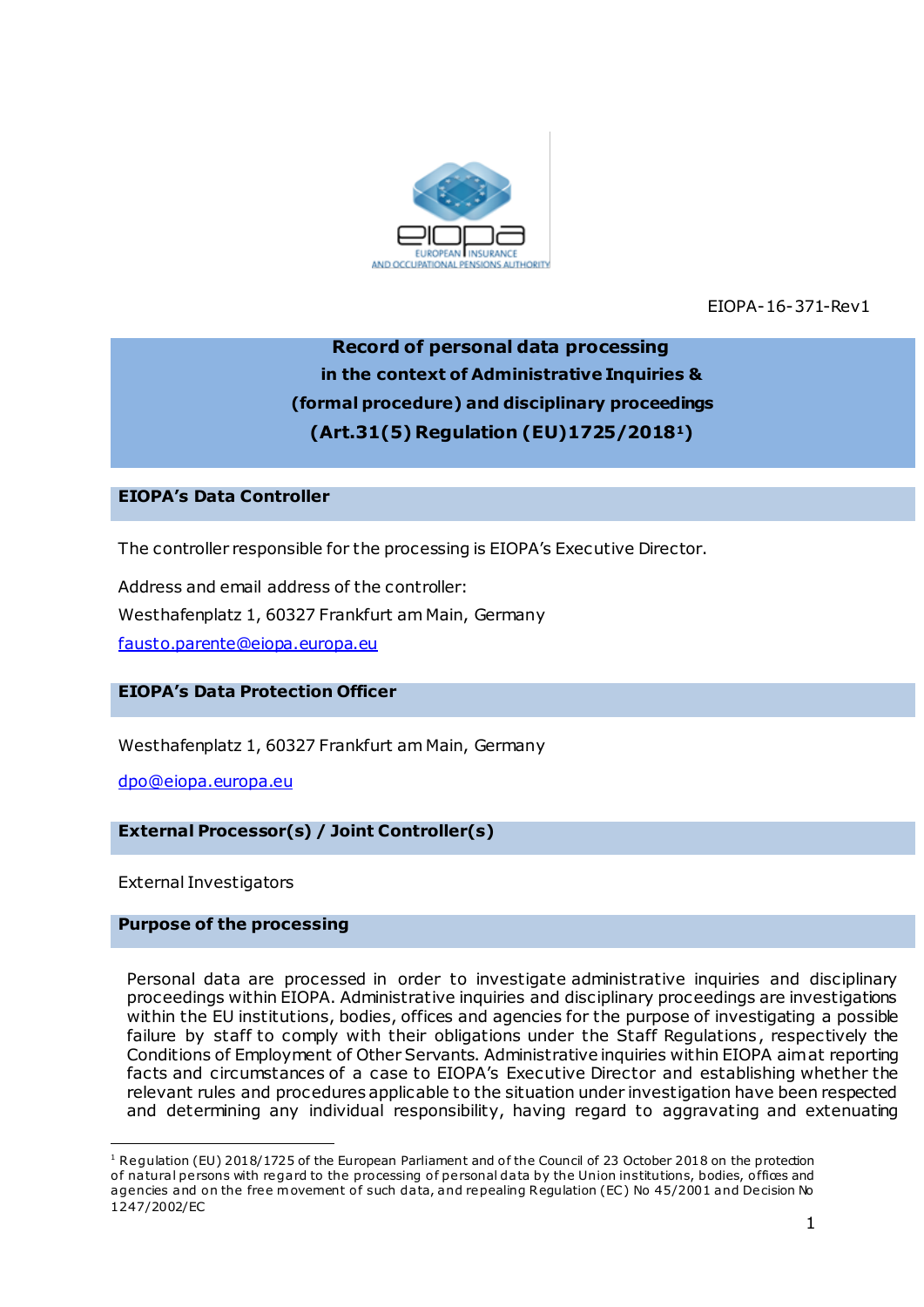

EIOPA-16-371-Rev1

# **Record of personal data processing in the context of Administrative Inquiries & (formal procedure) and disciplinary proceedings (Art.31(5) Regulation (EU)1725/20181)**

# **EIOPA's Data Controller**

The controller responsible for the processing is EIOPA's Executive Director.

Address and email address of the controller: Westhafenplatz 1, 60327 Frankfurt am Main, Germany [fausto.parente@eiopa.europa.eu](mailto:fausto.parente@eiopa.europa.eu)

# **EIOPA's Data Protection Officer**

Westhafenplatz 1, 60327 Frankfurt am Main, Germany

[dpo@eiopa.europa.eu](mailto:dpo@eiopa.europa.eu)

**External Processor(s) / Joint Controller(s)**

External Investigators

.

## **Purpose of the processing**

Personal data are processed in order to investigate administrative inquiries and disciplinary proceedings within EIOPA. Administrative inquiries and disciplinary proceedings are investigations within the EU institutions, bodies, offices and agencies for the purpose of investigating a possible failure by staff to comply with their obligations under the Staff Regulations, respectively the Conditions of Employment of Other Servants. Administrative inquiries within EIOPA aim at reporting facts and circumstances of a case to EIOPA's Executive Director and establishing whether the relevant rules and procedures applicable to the situation under investigation have been respected and determining any individual responsibility, having regard to aggravating and extenuating

 $1$  Regulation (EU) 2018/1725 of the European Parliament and of the Council of 23 October 2018 on the protection of natural persons with regard to the processing of personal data by the Union institutions, bodies, offices and agencies and on the free movement of such data, and repealing Regulation (EC) No 45/2001 and Decision No 1247/2002/EC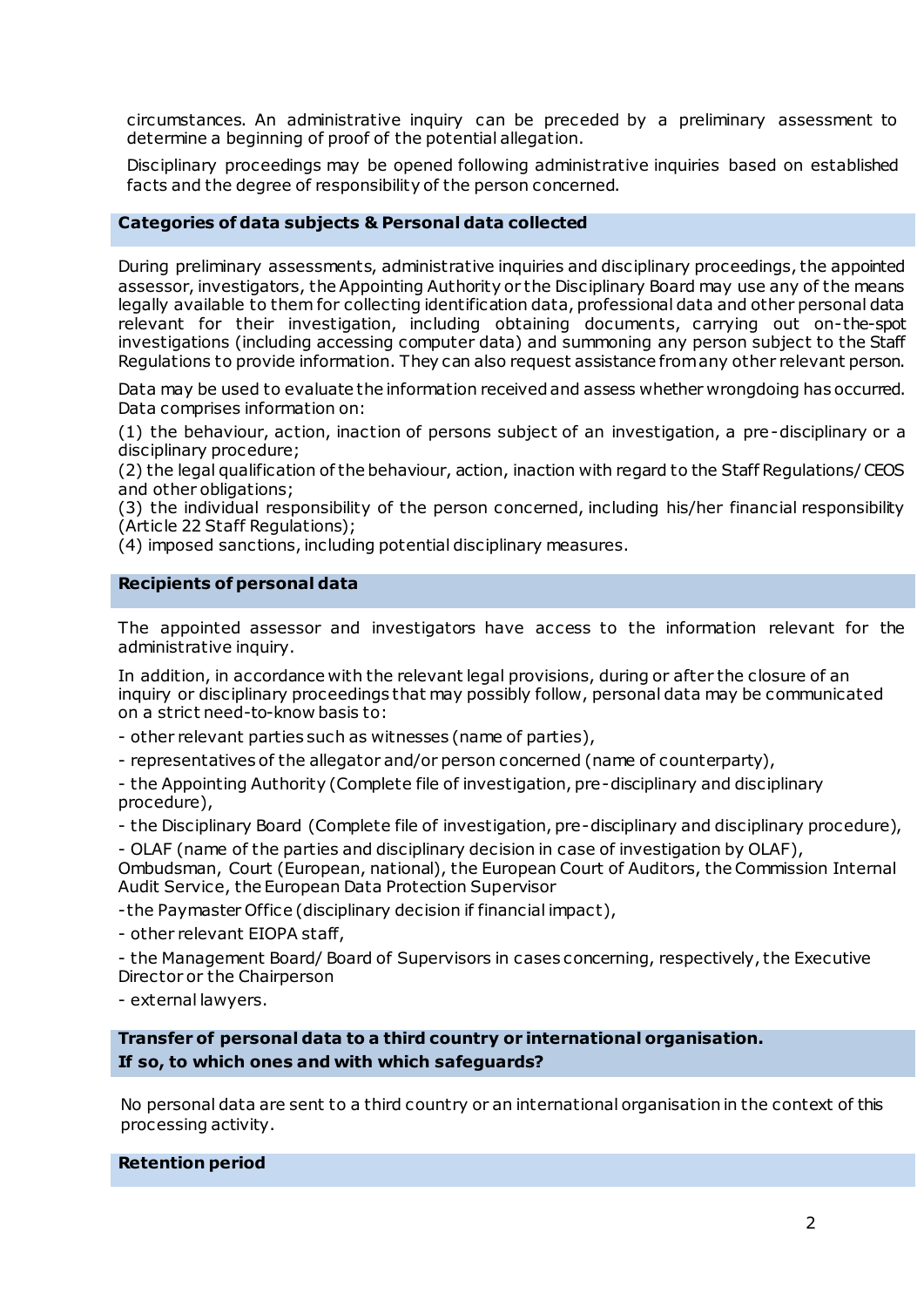circumstances. An administrative inquiry can be preceded by a preliminary assessment to determine a beginning of proof of the potential allegation.

Disciplinary proceedings may be opened following administrative inquiries based on established facts and the degree of responsibility of the person concerned.

### **Categories of data subjects & Personal data collected**

During preliminary assessments, administrative inquiries and disciplinary proceedings, the appointed assessor, investigators, the Appointing Authority or the Disciplinary Board may use any of the means legally available to them for collecting identification data, professional data and other personal data relevant for their investigation, including obtaining documents, carrying out on-the-spot investigations (including accessing computer data) and summoning any person subject to the Staff Regulations to provide information. They can also request assistance from any other relevant person.

Data may be used to evaluate the information received and assess whether wrongdoing has occurred. Data comprises information on:

(1) the behaviour, action, inaction of persons subject of an investigation, a pre-disciplinary or a disciplinary procedure;

(2) the legal qualification of the behaviour, action, inaction with regard to the Staff Regulations/ CEOS and other obligations;

(3) the individual responsibility of the person concerned, including his/her financial responsibility (Article 22 Staff Regulations);

(4) imposed sanctions, including potential disciplinary measures.

### **Recipients of personal data**

The appointed assessor and investigators have access to the information relevant for the administrative inquiry.

In addition, in accordance with the relevant legal provisions, during or after the closure of an inquiry or disciplinary proceedings that may possibly follow, personal data may be communicated on a strict need-to-know basis to:

- other relevant parties such as witnesses (name of parties),

- representatives of the allegator and/or person concerned (name of counterparty),

- the Appointing Authority (Complete file of investigation, pre-disciplinary and disciplinary procedure),

- the Disciplinary Board (Complete file of investigation, pre-disciplinary and disciplinary procedure),

- OLAF (name of the parties and disciplinary decision in case of investigation by OLAF),

Ombudsman, Court (European, national), the European Court of Auditors, the Commission Internal Audit Service, the European Data Protection Supervisor

-the Paymaster Office (disciplinary decision if financial impact),

- other relevant EIOPA staff,

- the Management Board/ Board of Supervisors in cases concerning, respectively, the Executive Director or the Chairperson

- external lawyers.

**Transfer of personal data to a third country or international organisation. If so, to which ones and with which safeguards?**

No personal data are sent to a third country or an international organisation in the context of this processing activity.

**Retention period**